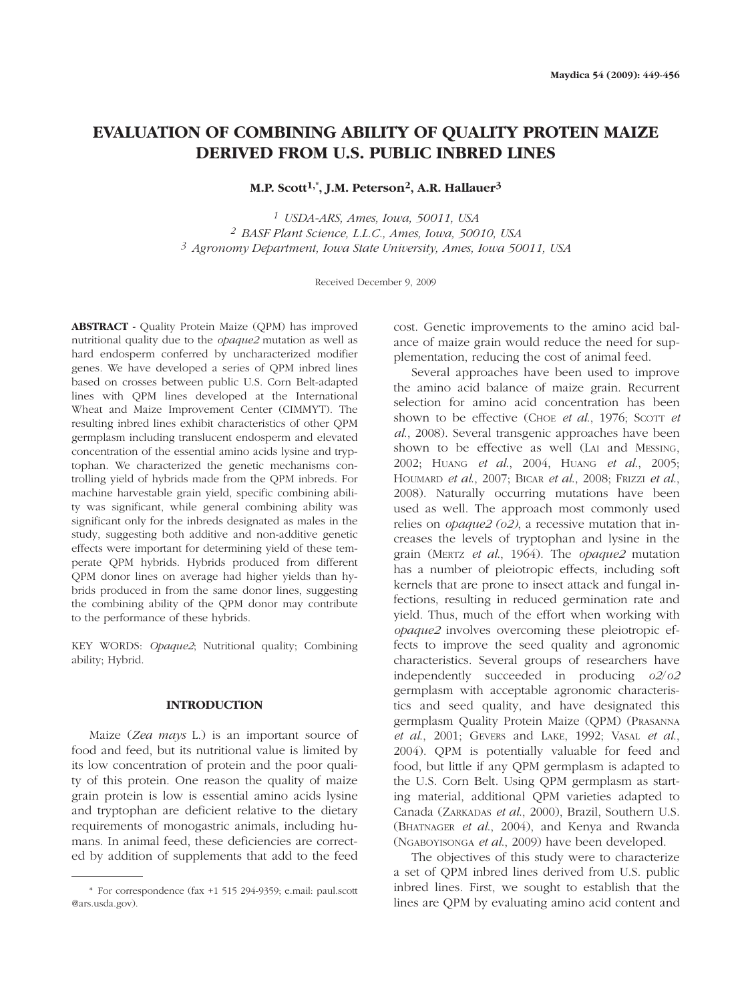# **EVALUATION OF COMBINING ABILITY OF QUALITY PROTEIN MAIZE DERIVED FROM U.S. PUBLIC INBRED LINES**

**M.P. Scott1,\*, J.M. Peterson2, A.R. Hallauer3**

*<sup>1</sup> USDA-ARS, Ames, Iowa, 50011, USA <sup>2</sup> BASF Plant Science, L.L.C., Ames, Iowa, 50010, USA <sup>3</sup> Agronomy Department, Iowa State University, Ames, Iowa 50011, USA*

Re ceived December 9, 2009

**ABSTRACT -** Quality Protein Maize (QPM) has improved nutritional quality due to the *opaque2* mutation as well as hard endosperm conferred by uncharacterized modifier genes. We have developed a series of QPM inbred lines based on crosses between public U.S. Corn Belt-adapted lines with QPM lines developed at the International Wheat and Maize Improvement Center (CIMMYT). The resulting inbred lines exhibit characteristics of other QPM germplasm including translucent endosperm and elevated concentration of the essential amino acids lysine and tryptophan. We characterized the genetic mechanisms controlling yield of hybrids made from the QPM inbreds. For machine harvestable grain yield, specific combining ability was significant, while general combining ability was significant only for the inbreds designated as males in the study, suggesting both additive and non-additive genetic effects were important for determining yield of these temperate QPM hybrids. Hybrids produced from different QPM donor lines on average had higher yields than hybrids produced in from the same donor lines, suggesting the combining ability of the QPM donor may contribute to the performance of these hybrids.

KEY WORDS: *Opaque2*; Nutritional quality; Combining ability; Hybrid.

## **INTRODUCTION**

Maize (*Zea mays* L.) is an important source of food and feed, but its nutritional value is limited by its low concentration of protein and the poor quality of this protein. One reason the quality of maize grain protein is low is essential amino acids lysine and tryptophan are deficient relative to the dietary requirements of monogastric animals, including humans. In animal feed, these deficiencies are corrected by addition of supplements that add to the feed cost. Genetic improvements to the amino acid balance of maize grain would reduce the need for supplementation, reducing the cost of animal feed.

Several approaches have been used to improve the amino acid balance of maize grain. Recurrent selection for amino acid concentration has been shown to be effective (CHOE *et al.*, 1976; ScOTT *et al*., 2008). Several transgenic approaches have been shown to be effective as well (LAI and MESSING, 2002; HUANG *et al*., 2004, HUANG *et al*., 2005; HOUMARD *et al*., 2007; BICAR *et al*., 2008; FRIZZI *et al*., 2008). Naturally occurring mutations have been used as well. The approach most commonly used relies on *opaque2 (o2)*, a recessive mutation that increases the levels of tryptophan and lysine in the grain (MERTZ *et al*., 1964). The *opaque2* mutation has a number of pleiotropic effects, including soft kernels that are prone to insect attack and fungal infections, resulting in reduced germination rate and yield. Thus, much of the effort when working with *opaque2* involves overcoming these pleiotropic effects to improve the seed quality and agronomic characteristics. Several groups of researchers have independently succeeded in producing *o2*/*o2* germplasm with acceptable agronomic characteristics and seed quality, and have designated this germplasm Quality Protein Maize (QPM) (PRASANNA *et al*., 2001; GEVERS and LAKE, 1992; VASAL *et al*., 2004). QPM is potentially valuable for feed and food, but little if any QPM germplasm is adapted to the U.S. Corn Belt. Using QPM germplasm as starting material, additional QPM varieties adapted to Canada (ZARKADAS *et al*., 2000), Brazil, Southern U.S. (BHATNAGER *et al*., 2004), and Kenya and Rwanda (NGABOYISONGA *et al*., 2009) have been developed.

The objectives of this study were to characterize a set of QPM inbred lines derived from U.S. public inbred lines. First, we sought to establish that the lines are QPM by evaluating amino acid content and

<sup>\*</sup> For correspondence (fax +1 515 294-9359; e.mail: paul.scott @ars.usda.gov).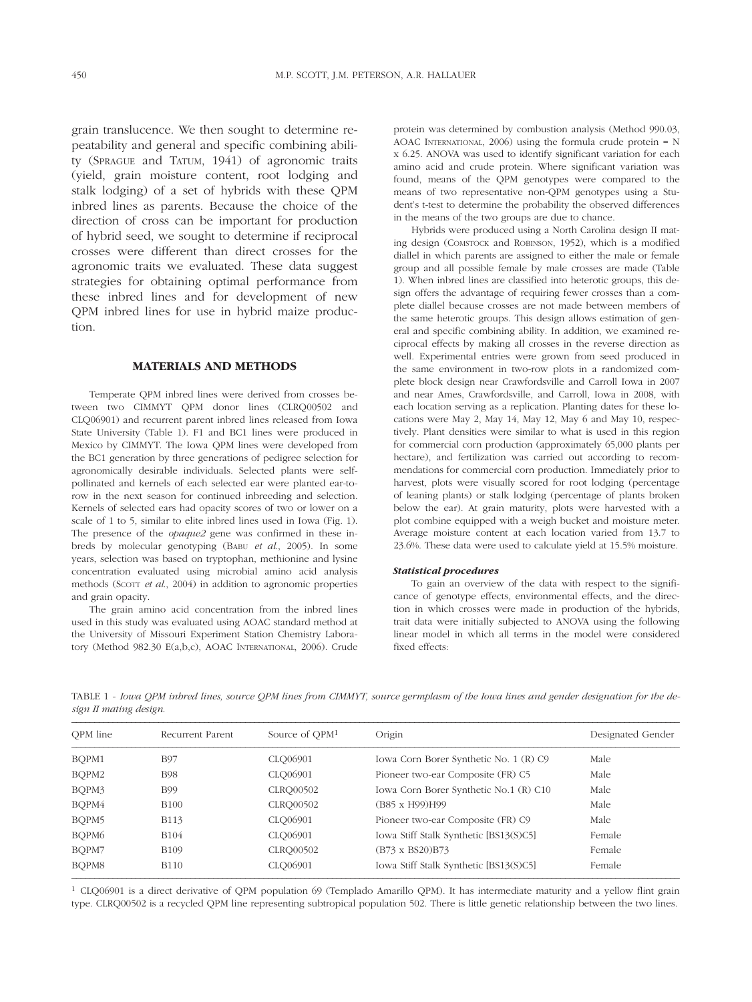grain translucence. We then sought to determine repeatability and general and specific combining ability (SPRAGUE and TATUM, 1941) of agronomic traits (yield, grain moisture content, root lodging and stalk lodging) of a set of hybrids with these QPM inbred lines as parents. Because the choice of the direction of cross can be important for production of hybrid seed, we sought to determine if reciprocal crosses were different than direct crosses for the agronomic traits we evaluated. These data suggest strategies for obtaining optimal performance from these inbred lines and for development of new QPM inbred lines for use in hybrid maize production.

## **MATERIALS AND METHODS**

Temperate QPM inbred lines were derived from crosses between two CIMMYT QPM donor lines (CLRQ00502 and CLQ06901) and recurrent parent inbred lines released from Iowa State University (Table 1). F1 and BC1 lines were produced in Mexico by CIMMYT. The Iowa QPM lines were developed from the BC1 generation by three generations of pedigree selection for agronomically desirable individuals. Selected plants were selfpollinated and kernels of each selected ear were planted ear-torow in the next season for continued inbreeding and selection. Kernels of selected ears had opacity scores of two or lower on a scale of 1 to 5, similar to elite inbred lines used in Iowa (Fig. 1). The presence of the *opaque2* gene was confirmed in these inbreds by molecular genotyping (BABU *et al*., 2005). In some years, selection was based on tryptophan, methionine and lysine concentration evaluated using microbial amino acid analysis methods (SCOTT *et al*., 2004) in addition to agronomic properties and grain opacity.

The grain amino acid concentration from the inbred lines used in this study was evaluated using AOAC standard method at the University of Missouri Experiment Station Chemistry Laboratory (Method 982.30 E(a,b,c), AOAC INTERNATIONAL, 2006). Crude protein was determined by combustion analysis (Method 990.03, AOAC INTERNATIONAL, 2006) using the formula crude protein = N x 6.25. ANOVA was used to identify significant variation for each amino acid and crude protein. Where significant variation was found, means of the QPM genotypes were compared to the means of two representative non-QPM genotypes using a Student's t-test to determine the probability the observed differences in the means of the two groups are due to chance.

Hybrids were produced using a North Carolina design II mating design (COMSTOCK and ROBINSON, 1952), which is a modified diallel in which parents are assigned to either the male or female group and all possible female by male crosses are made (Table 1). When inbred lines are classified into heterotic groups, this design offers the advantage of requiring fewer crosses than a complete diallel because crosses are not made between members of the same heterotic groups. This design allows estimation of general and specific combining ability. In addition, we examined reciprocal effects by making all crosses in the reverse direction as well. Experimental entries were grown from seed produced in the same environment in two-row plots in a randomized complete block design near Crawfordsville and Carroll Iowa in 2007 and near Ames, Crawfordsville, and Carroll, Iowa in 2008, with each location serving as a replication. Planting dates for these locations were May 2, May 14, May 12, May 6 and May 10, respectively. Plant densities were similar to what is used in this region for commercial corn production (approximately 65,000 plants per hectare), and fertilization was carried out according to recommendations for commercial corn production. Immediately prior to harvest, plots were visually scored for root lodging (percentage of leaning plants) or stalk lodging (percentage of plants broken below the ear). At grain maturity, plots were harvested with a plot combine equipped with a weigh bucket and moisture meter. Average moisture content at each location varied from 13.7 to 23.6%. These data were used to calculate yield at 15.5% moisture.

#### *Statistical procedures*

To gain an overview of the data with respect to the significance of genotype effects, environmental effects, and the direction in which crosses were made in production of the hybrids, trait data were initially subjected to ANOVA using the following linear model in which all terms in the model were considered fixed effects:

TABLE 1 - *Iowa QPM inbred lines, source QPM lines from CIMMYT, source germplasm of the Iowa lines and gender designation for the design II mating design*.

| OPM line | Recurrent Parent | Source of QPM <sup>1</sup> | Origin                                 | Designated Gender |
|----------|------------------|----------------------------|----------------------------------------|-------------------|
| BQPM1    | <b>B97</b>       | CLO06901                   | Iowa Corn Borer Synthetic No. 1 (R) C9 | Male              |
| BQPM2    | B98              | CLO06901                   | Pioneer two-ear Composite (FR) C5      | Male              |
| BQPM3    | B99              | CLRQ00502                  | Iowa Corn Borer Synthetic No.1 (R) C10 | Male              |
| BQPM4    | <b>B100</b>      | CLRQ00502                  | (B85 x H99)H99                         | Male              |
| BQPM5    | <b>B113</b>      | CLO06901                   | Pioneer two-ear Composite (FR) C9      | Male              |
| BQPM6    | <b>B104</b>      | CLO06901                   | Iowa Stiff Stalk Synthetic [BS13(S)C5] | Female            |
| BQPM7    | <b>B109</b>      | CLRQ00502                  | (B73 x BS20) B73                       | Female            |
| BQPM8    | <b>B110</b>      | CLQ06901                   | Iowa Stiff Stalk Synthetic [BS13(S)C5] | Female            |

1 CLQ06901 is a direct derivative of QPM population 69 (Templado Amarillo QPM). It has intermediate maturity and a yellow flint grain type. CLRQ00502 is a recycled QPM line representing subtropical population 502. There is little genetic relationship between the two lines.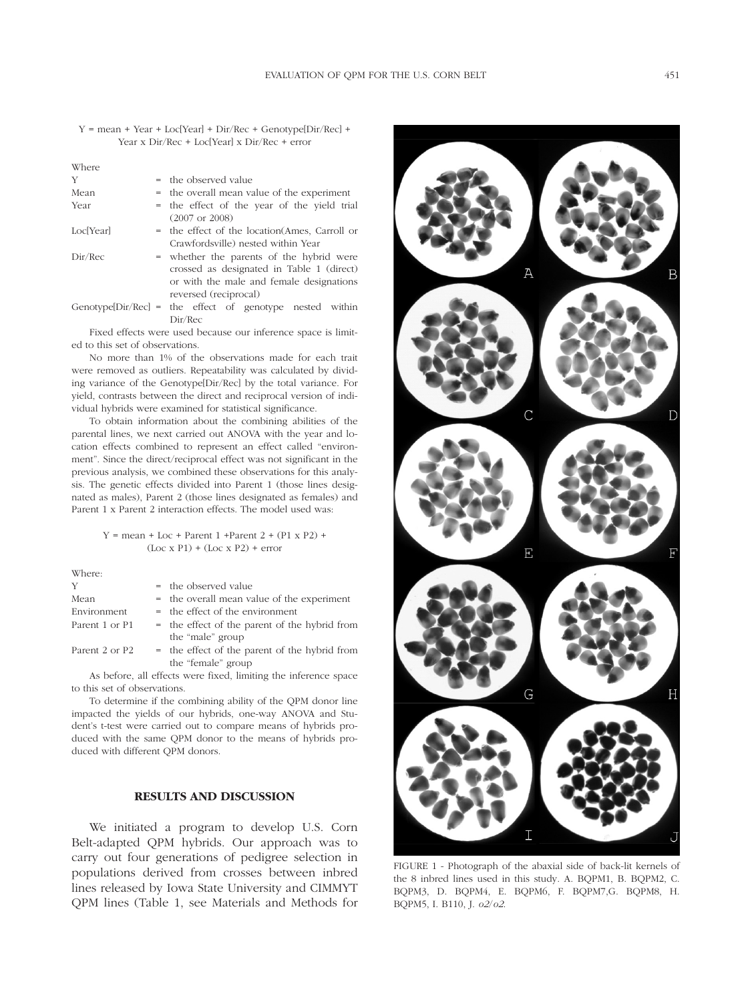Y = mean + Year + Loc[Year] + Dir/Rec + Genotype[Dir/Rec] + Year x Dir/Rec + Loc[Year] x Dir/Rec + error

| Where     |                                                                                       |
|-----------|---------------------------------------------------------------------------------------|
| Y         | = the observed value                                                                  |
| Mean      | = the overall mean value of the experiment                                            |
| Year      | = the effect of the year of the yield trial<br>$(2007 \text{ or } 2008)$              |
| Loc[Year] | = the effect of the location (Ames, Carroll or<br>Crawfordsville) nested within Year  |
| Dir/Rec   | = whether the parents of the hybrid were<br>crossed as designated in Table 1 (direct) |
|           | or with the male and female designations<br>reversed (reciprocal)                     |
|           | Genotype $[\text{Dir/Rec}] =$ the effect of genotype nested within<br>Dir/Rec         |
|           | Fixed effects were used because our inference space is limit                          |

Fixed effects were used because our inference space is limited to this set of observations.

No more than 1% of the observations made for each trait were removed as outliers. Repeatability was calculated by dividing variance of the Genotype[Dir/Rec] by the total variance. For yield, contrasts between the direct and reciprocal version of individual hybrids were examined for statistical significance.

To obtain information about the combining abilities of the parental lines, we next carried out ANOVA with the year and location effects combined to represent an effect called "environment". Since the direct/reciprocal effect was not significant in the previous analysis, we combined these observations for this analysis. The genetic effects divided into Parent 1 (those lines designated as males), Parent 2 (those lines designated as females) and Parent 1 x Parent 2 interaction effects. The model used was:

### $Y = mean + Loc + Parent 1 +Parent 2 + (P1 \times P2) +$  $(Loc x P1) + (Loc x P2) + error$

Where:

| Y              | = the observed value                                                                                                                                                                                                                                                                                                                                                                                                                                       |
|----------------|------------------------------------------------------------------------------------------------------------------------------------------------------------------------------------------------------------------------------------------------------------------------------------------------------------------------------------------------------------------------------------------------------------------------------------------------------------|
| Mean           | = the overall mean value of the experiment                                                                                                                                                                                                                                                                                                                                                                                                                 |
| Environment    | $=$ the effect of the environment                                                                                                                                                                                                                                                                                                                                                                                                                          |
| Parent 1 or P1 | = the effect of the parent of the hybrid from                                                                                                                                                                                                                                                                                                                                                                                                              |
|                | the "male" group                                                                                                                                                                                                                                                                                                                                                                                                                                           |
| Parent 2 or P2 | = the effect of the parent of the hybrid from                                                                                                                                                                                                                                                                                                                                                                                                              |
|                | the "female" group                                                                                                                                                                                                                                                                                                                                                                                                                                         |
|                | $\mathbf{A} = \mathbf{A} \quad \mathbf{A} = \mathbf{A} \quad \mathbf{A} = \mathbf{A} \quad \mathbf{A} = \mathbf{A} \quad \mathbf{A} = \mathbf{A} \quad \mathbf{A} = \mathbf{A} \quad \mathbf{A} = \mathbf{A} \quad \mathbf{A} = \mathbf{A} \quad \mathbf{A} = \mathbf{A} \quad \mathbf{A} = \mathbf{A} \quad \mathbf{A} = \mathbf{A} \quad \mathbf{A} = \mathbf{A} \quad \mathbf{A} = \mathbf{A} \quad \mathbf{A} = \mathbf{A} \quad \mathbf{A} = \mathbf$ |

As before, all effects were fixed, limiting the inference space to this set of observations.

To determine if the combining ability of the QPM donor line impacted the yields of our hybrids, one-way ANOVA and Student's t-test were carried out to compare means of hybrids produced with the same QPM donor to the means of hybrids produced with different QPM donors.

# **RESULTS AND DISCUSSION**

We initiated a program to develop U.S. Corn Belt-adapted QPM hybrids. Our approach was to carry out four generations of pedigree selection in populations derived from crosses between inbred lines released by Iowa State University and CIMMYT QPM lines (Table 1, see Materials and Methods for



FIGURE 1 - Photograph of the abaxial side of back-lit kernels of the 8 inbred lines used in this study. A. BQPM1, B. BQPM2, C. BQPM3, D. BQPM4, E. BQPM6, F. BQPM7,G. BQPM8, H. BQPM5, I. B110, J. *o2*/*o2*.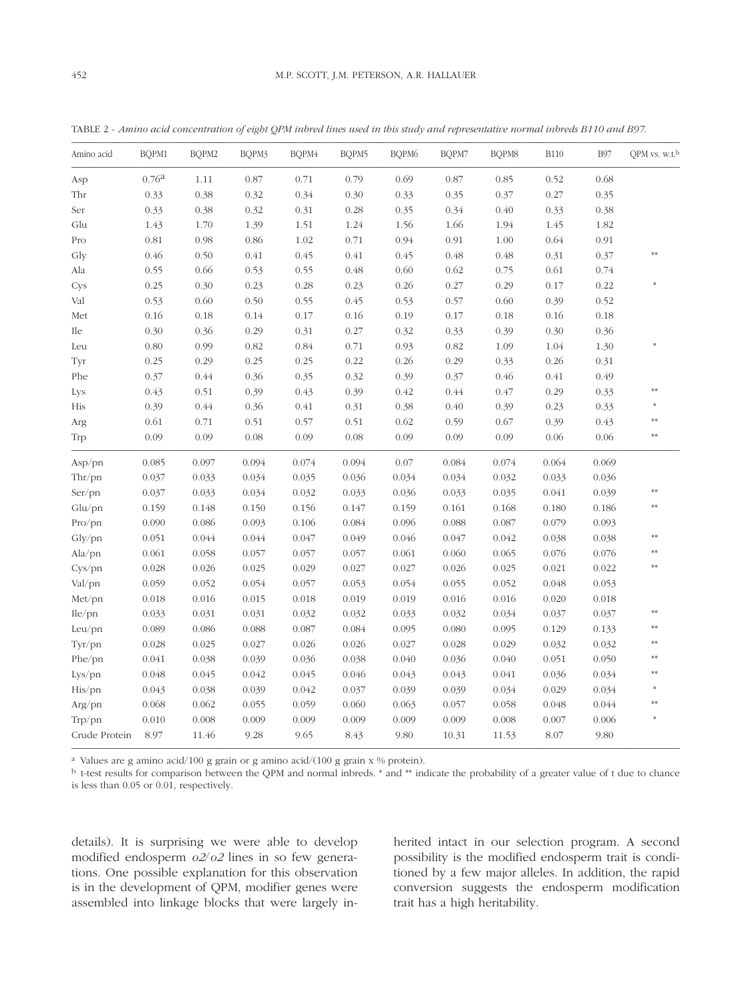TABLE 2 - *Amino acid concentration of eight QPM inbred lines used in this study and representative normal inbreds B110 and B97*.

| Amino acid    | BQPM1             | BQPM2 | BQPM3 | BQPM4 | BQPM5 | BQPM6 | BQPM7 | BQPM8 | <b>B110</b> | <b>B97</b> | QPM vs. w.t. <sup>b</sup> |
|---------------|-------------------|-------|-------|-------|-------|-------|-------|-------|-------------|------------|---------------------------|
| Asp           | 0.76 <sup>a</sup> | 1.11  | 0.87  | 0.71  | 0.79  | 0.69  | 0.87  | 0.85  | 0.52        | 0.68       |                           |
| Thr           | 0.33              | 0.38  | 0.32  | 0.34  | 0.30  | 0.33  | 0.35  | 0.37  | 0.27        | 0.35       |                           |
| Ser           | 0.33              | 0.38  | 0.32  | 0.31  | 0.28  | 0.35  | 0.34  | 0.40  | 0.33        | 0.38       |                           |
| Glu           | 1.43              | 1.70  | 1.39  | 1.51  | 1.24  | 1.56  | 1.66  | 1.94  | 1.45        | 1.82       |                           |
| Pro           | $0.81\,$          | 0.98  | 0.86  | 1.02  | 0.71  | 0.94  | 0.91  | 1.00  | 0.64        | 0.91       |                           |
| Gly           | 0.46              | 0.50  | 0.41  | 0.45  | 0.41  | 0.45  | 0.48  | 0.48  | 0.31        | 0.37       | **                        |
| Ala           | 0.55              | 0.66  | 0.53  | 0.55  | 0.48  | 0.60  | 0.62  | 0.75  | 0.61        | 0.74       |                           |
| Cys           | 0.25              | 0.30  | 0.23  | 0.28  | 0.23  | 0.26  | 0.27  | 0.29  | 0.17        | 0.22       |                           |
| Val           | 0.53              | 0.60  | 0.50  | 0.55  | 0.45  | 0.53  | 0.57  | 0.60  | 0.39        | 0.52       |                           |
| Met           | 0.16              | 0.18  | 0.14  | 0.17  | 0.16  | 0.19  | 0.17  | 0.18  | 0.16        | 0.18       |                           |
| Ile           | 0.30              | 0.36  | 0.29  | 0.31  | 0.27  | 0.32  | 0.33  | 0.39  | 0.30        | 0.36       |                           |
| Leu           | 0.80              | 0.99  | 0.82  | 0.84  | 0.71  | 0.93  | 0.82  | 1.09  | 1.04        | 1.30       |                           |
| Tyr           | 0.25              | 0.29  | 0.25  | 0.25  | 0.22  | 0.26  | 0.29  | 0.33  | 0.26        | 0.31       |                           |
| Phe           | 0.37              | 0.44  | 0.36  | 0.35  | 0.32  | 0.39  | 0.37  | 0.46  | 0.41        | 0.49       |                           |
| Lys           | 0.43              | 0.51  | 0.39  | 0.43  | 0.39  | 0.42  | 0.44  | 0.47  | 0.29        | 0.33       | $***$                     |
| His           | 0.39              | 0.44  | 0.36  | 0.41  | 0.31  | 0.38  | 0.40  | 0.39  | 0.23        | 0.33       |                           |
| Arg           | 0.61              | 0.71  | 0.51  | 0.57  | 0.51  | 0.62  | 0.59  | 0.67  | 0.39        | 0.43       | **                        |
| Trp           | 0.09              | 0.09  | 0.08  | 0.09  | 0.08  | 0.09  | 0.09  | 0.09  | 0.06        | 0.06       | **                        |
| Asp/pn        | 0.085             | 0.097 | 0.094 | 0.074 | 0.094 | 0.07  | 0.084 | 0.074 | 0.064       | 0.069      |                           |
| Thr/pn        | 0.037             | 0.033 | 0.034 | 0.035 | 0.036 | 0.034 | 0.034 | 0.032 | 0.033       | 0.036      |                           |
| Ser/pn        | 0.037             | 0.033 | 0.034 | 0.032 | 0.033 | 0.036 | 0.033 | 0.035 | 0.041       | 0.039      | $***$                     |
| $Glu$ /pn     | 0.159             | 0.148 | 0.150 | 0.156 | 0.147 | 0.159 | 0.161 | 0.168 | 0.180       | 0.186      | $\ast\ast$                |
| Pro/pn        | 0.090             | 0.086 | 0.093 | 0.106 | 0.084 | 0.096 | 0.088 | 0.087 | 0.079       | 0.093      |                           |
| Gly/pn        | 0.051             | 0.044 | 0.044 | 0.047 | 0.049 | 0.046 | 0.047 | 0.042 | 0.038       | 0.038      | **                        |
| Ala/pn        | 0.061             | 0.058 | 0.057 | 0.057 | 0.057 | 0.061 | 0.060 | 0.065 | 0.076       | 0.076      | **                        |
| Cys/pn        | 0.028             | 0.026 | 0.025 | 0.029 | 0.027 | 0.027 | 0.026 | 0.025 | 0.021       | 0.022      |                           |
| Val/pn        | 0.059             | 0.052 | 0.054 | 0.057 | 0.053 | 0.054 | 0.055 | 0.052 | 0.048       | 0.053      |                           |
| Met/pn        | 0.018             | 0.016 | 0.015 | 0.018 | 0.019 | 0.019 | 0.016 | 0.016 | 0.020       | 0.018      |                           |
| Ile/pn        | 0.033             | 0.031 | 0.031 | 0.032 | 0.032 | 0.033 | 0.032 | 0.034 | 0.037       | 0.037      | **                        |
| Leu/pn        | 0.089             | 0.086 | 0.088 | 0.087 | 0.084 | 0.095 | 0.080 | 0.095 | 0.129       | 0.133      | $***$                     |
| Tyr/pn        | 0.028             | 0.025 | 0.027 | 0.026 | 0.026 | 0.027 | 0.028 | 0.029 | 0.032       | 0.032      | $***$                     |
| Phe/pn        | 0.041             | 0.038 | 0.039 | 0.036 | 0.038 | 0.040 | 0.036 | 0.040 | 0.051       | 0.050      | **                        |
| Lys/pn        | 0.048             | 0.045 | 0.042 | 0.045 | 0.046 | 0.043 | 0.043 | 0.041 | 0.036       | 0.034      | $***$                     |
| His/pn        | 0.043             | 0.038 | 0.039 | 0.042 | 0.037 | 0.039 | 0.039 | 0.034 | 0.029       | 0.034      |                           |
| Arg/pn        | 0.068             | 0.062 | 0.055 | 0.059 | 0.060 | 0.063 | 0.057 | 0.058 | 0.048       | 0.044      | **                        |
| Trp/pn        | 0.010             | 0.008 | 0.009 | 0.009 | 0.009 | 0.009 | 0.009 | 0.008 | 0.007       | 0.006      |                           |
| Crude Protein | 8.97              | 11.46 | 9.28  | 9.65  | 8.43  | 9.80  | 10.31 | 11.53 | 8.07        | 9.80       |                           |

a Values are g amino acid/100 g grain or g amino acid/(100 g grain x % protein).

b t-test results for comparison between the QPM and normal inbreds. \* and \*\* indicate the probability of a greater value of t due to chance is less than 0.05 or 0.01, respectively.

details). It is surprising we were able to develop modified endosperm *o2*/*o2* lines in so few generations. One possible explanation for this observation is in the development of QPM, modifier genes were assembled into linkage blocks that were largely inherited intact in our selection program. A second possibility is the modified endosperm trait is conditioned by a few major alleles. In addition, the rapid conversion suggests the endosperm modification trait has a high heritability.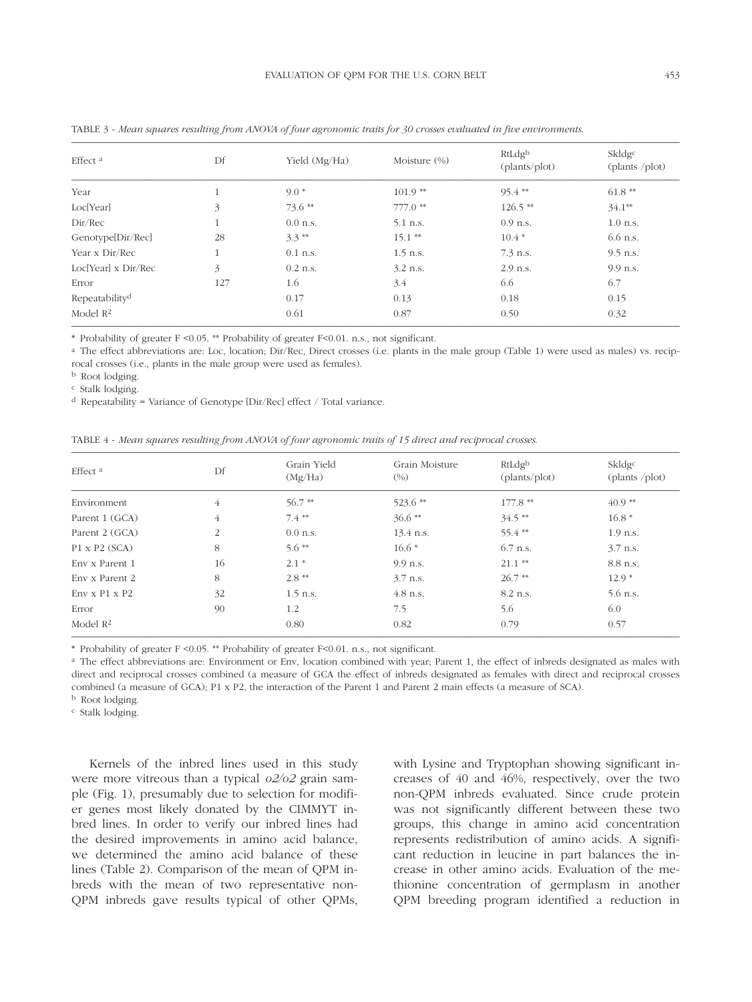| Effect <sup>a</sup>             | Df           | Yield (Mg/Ha) | Moisture $(\%)$ | RtLdgb<br>(plants/plot) | Skldg <sup>c</sup><br>(plants /plot) |
|---------------------------------|--------------|---------------|-----------------|-------------------------|--------------------------------------|
| Year                            |              | $9.0*$        | $101.9**$       | $95.4**$                | $61.8**$                             |
| Loc[Year]                       | 3            | $73.6**$      | $777.0$ **      | $126.5$ **              | $34.1**$                             |
| Dir/Rec                         |              | $0.0$ n.s.    | 5.1 n.s.        | $0.9$ n.s.              | $1.0$ n.s.                           |
| Genotype[Dir/Rec]               | 28           | $3.3**$       | $15.1$ **       | $10.4*$                 | 6.6 n.s.                             |
| Year x Dir/Rec                  | $\mathbf{1}$ | $0.1$ n.s.    | $1.5$ n.s.      | $7.3$ n.s.              | $9.5$ n.s.                           |
| Loc <sup>[Year]</sup> x Dir/Rec | 3            | $0.2$ n.s.    | $3.2$ n.s.      | $2.9$ n.s.              | 9.9 n.s.                             |
| Error                           | 127          | 1.6           | 3.4             | 6.6                     | 6.7                                  |
| Repeatability <sup>d</sup>      |              | 0.17          | 0.13            | 0.18                    | 0.15                                 |
| Model $\mathbb{R}^2$            |              | 0.61          | 0.87            | 0.50                    | 0.32                                 |

TABLE 3 - *Mean squares resulting from ANOVA of four agronomic traits for 30 crosses evaluated in five environments*.

**\*** Probability of greater F <0.05. \*\* Probability of greater F<0.01. n.s., not significant.

<sup>a</sup> The effect abbreviations are: Loc, location; Dir/Rec, Direct crosses (i.e. plants in the male group (Table 1) were used as males) vs. reciprocal crosses (i.e., plants in the male group were used as females).

b Root lodging.

c Stalk lodging.

d Repeatability = Variance of Genotype [Dir/Rec] effect / Total variance.

| TABLE 4 - Mean squares resulting from ANOVA of four agronomic traits of 15 direct and reciprocal crosses. |  |  |  |  |  |
|-----------------------------------------------------------------------------------------------------------|--|--|--|--|--|
|-----------------------------------------------------------------------------------------------------------|--|--|--|--|--|

| Effect <sup>a</sup>       | Df | Grain Yield<br>(Mg/Ha) | Grain Moisture<br>$(\%)$ | RtLdgb<br>(plants/plot) | Skldgc<br>(plants /plot) |
|---------------------------|----|------------------------|--------------------------|-------------------------|--------------------------|
| Environment               | 4  | $56.7**$               | 523.6**                  | $177.8**$               | $40.9**$                 |
| Parent 1 (GCA)            | 4  | $7.4**$                | $36.6**$                 | $34.5$ **               | $16.8*$                  |
| Parent 2 (GCA)            | 2  | $0.0$ n.s.             | $13.4$ n.s.              | 55.4**                  | $1.9$ n.s.               |
| $P1 \times P2$ (SCA)      | 8  | $5.6**$                | $16.6*$                  | 6.7 n.s.                | $3.7$ n.s.               |
| Env x Parent 1            | 16 | $2.1*$                 | 9.9 n.s.                 | $21.1$ **               | 8.8 n.s.                 |
| Env x Parent 2            | 8  | $2.8**$                | $3.7$ n.s.               | $26.7**$                | $12.9*$                  |
| $Env \times P1 \times P2$ | 32 | $1.5$ n.s.             | $4.8$ n.s.               | 8.2 n.s.                | $5.6$ n.s.               |
| Error                     | 90 | 1.2                    | 7.5                      | 5.6                     | 6.0                      |
| Model $R2$                |    | 0.80                   | 0.82                     | 0.79                    | 0.57                     |

**\*** Probability of greater F <0.05. \*\* Probability of greater F<0.01. n.s., not significant.

<sup>a</sup> The effect abbreviations are: Environment or Env, location combined with year; Parent 1, the effect of inbreds designated as males with direct and reciprocal crosses combined (a measure of GCA the effect of inbreds designated as females with direct and reciprocal crosses combined (a measure of GCA); P1 x P2, the interaction of the Parent 1 and Parent 2 main effects (a measure of SCA).

b Root lodging.

c Stalk lodging.

Kernels of the inbred lines used in this study were more vitreous than a typical *o2/o2* grain sample (Fig. 1), presumably due to selection for modifier genes most likely donated by the CIMMYT inbred lines. In order to verify our inbred lines had the desired improvements in amino acid balance, we determined the amino acid balance of these lines (Table 2). Comparison of the mean of QPM inbreds with the mean of two representative non-QPM inbreds gave results typical of other QPMs,

with Lysine and Tryptophan showing significant increases of 40 and 46%, respectively, over the two non-QPM inbreds evaluated. Since crude protein was not significantly different between these two groups, this change in amino acid concentration represents redistribution of amino acids. A significant reduction in leucine in part balances the increase in other amino acids. Evaluation of the methionine concentration of germplasm in another QPM breeding program identified a reduction in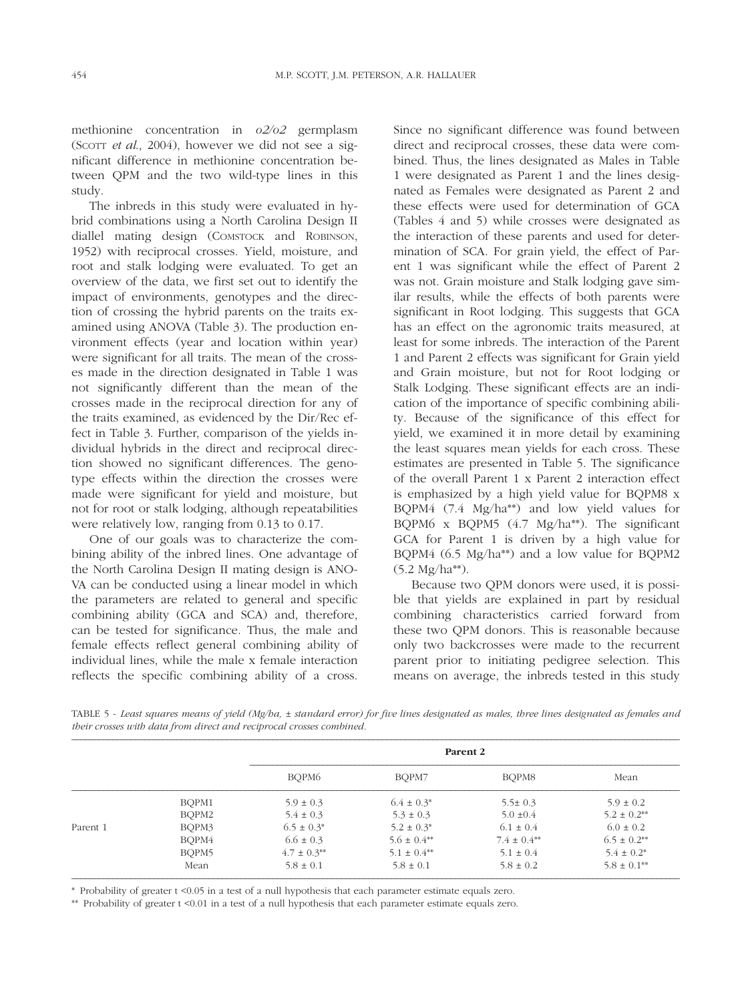methionine concentration in *o2/o2* germplasm (SCOTT *et al*., 2004), however we did not see a significant difference in methionine concentration between QPM and the two wild-type lines in this study.

The inbreds in this study were evaluated in hybrid combinations using a North Carolina Design II diallel mating design (COMSTOCK and ROBINSON, 1952) with reciprocal crosses. Yield, moisture, and root and stalk lodging were evaluated. To get an overview of the data, we first set out to identify the impact of environments, genotypes and the direction of crossing the hybrid parents on the traits examined using ANOVA (Table 3). The production environment effects (year and location within year) were significant for all traits. The mean of the crosses made in the direction designated in Table 1 was not significantly different than the mean of the crosses made in the reciprocal direction for any of the traits examined, as evidenced by the Dir/Rec effect in Table 3. Further, comparison of the yields individual hybrids in the direct and reciprocal direction showed no significant differences. The genotype effects within the direction the crosses were made were significant for yield and moisture, but not for root or stalk lodging, although repeatabilities were relatively low, ranging from 0.13 to 0.17.

One of our goals was to characterize the combining ability of the inbred lines. One advantage of the North Carolina Design II mating design is ANO-VA can be conducted using a linear model in which the parameters are related to general and specific combining ability (GCA and SCA) and, therefore, can be tested for significance. Thus, the male and female effects reflect general combining ability of individual lines, while the male x female interaction reflects the specific combining ability of a cross.

Since no significant difference was found between direct and reciprocal crosses, these data were combined. Thus, the lines designated as Males in Table 1 were designated as Parent 1 and the lines designated as Females were designated as Parent 2 and these effects were used for determination of GCA (Tables 4 and 5) while crosses were designated as the interaction of these parents and used for determination of SCA. For grain yield, the effect of Parent 1 was significant while the effect of Parent 2 was not. Grain moisture and Stalk lodging gave similar results, while the effects of both parents were significant in Root lodging. This suggests that GCA has an effect on the agronomic traits measured, at least for some inbreds. The interaction of the Parent 1 and Parent 2 effects was significant for Grain yield and Grain moisture, but not for Root lodging or Stalk Lodging. These significant effects are an indication of the importance of specific combining ability. Because of the significance of this effect for yield, we examined it in more detail by examining the least squares mean yields for each cross. These estimates are presented in Table 5. The significance of the overall Parent 1 x Parent 2 interaction effect is emphasized by a high yield value for BQPM8 x BQPM4 (7.4 Mg/ha\*\*) and low yield values for BQPM6 x BQPM5 (4.7 Mg/ha\*\*). The significant GCA for Parent 1 is driven by a high value for BQPM4 (6.5 Mg/ha\*\*) and a low value for BQPM2 (5.2 Mg/ha\*\*).

Because two QPM donors were used, it is possible that yields are explained in part by residual combining characteristics carried forward from these two QPM donors. This is reasonable because only two backcrosses were made to the recurrent parent prior to initiating pedigree selection. This means on average, the inbreds tested in this study

TABLE 5 - *Least squares means of yield (Mg/ha, ± standard error) for five lines designated as males, three lines designated as females and their crosses with data from direct and reciprocal crosses combined.*

|          |       | Parent 2        |                    |                    |                             |  |  |
|----------|-------|-----------------|--------------------|--------------------|-----------------------------|--|--|
|          |       | BOPM6           | BOPM7              | BOPM8              | Mean                        |  |  |
|          | BOPM1 | $5.9 \pm 0.3$   | $6.4 \pm 0.3^*$    | $5.5 \pm 0.3$      | $5.9 \pm 0.2$               |  |  |
|          | BOPM2 | $5.4 \pm 0.3$   | $5.3 \pm 0.3$      | $5.0 \pm 0.4$      | $5.2 \pm 0.2^{**}$          |  |  |
| Parent 1 | BQPM3 | $6.5 \pm 0.3^*$ | $5.2 \pm 0.3^*$    | $6.1 \pm 0.4$      | $6.0 \pm 0.2$               |  |  |
|          | BQPM4 | $6.6 \pm 0.3$   | $5.6 \pm 0.4^{**}$ | $7.4 \pm 0.4^{**}$ | $6.5 \pm 0.2$ <sup>**</sup> |  |  |
|          | BQPM5 | $4.7 \pm 0.3**$ | $5.1 \pm 0.4^{**}$ | $5.1 \pm 0.4$      | $5.4 \pm 0.2^*$             |  |  |
|          | Mean  | $5.8 \pm 0.1$   | $5.8 \pm 0.1$      | $5.8 \pm 0.2$      | $5.8 \pm 0.1^{**}$          |  |  |

\* Probability of greater t <0.05 in a test of a null hypothesis that each parameter estimate equals zero.

\*\* Probability of greater t <0.01 in a test of a null hypothesis that each parameter estimate equals zero.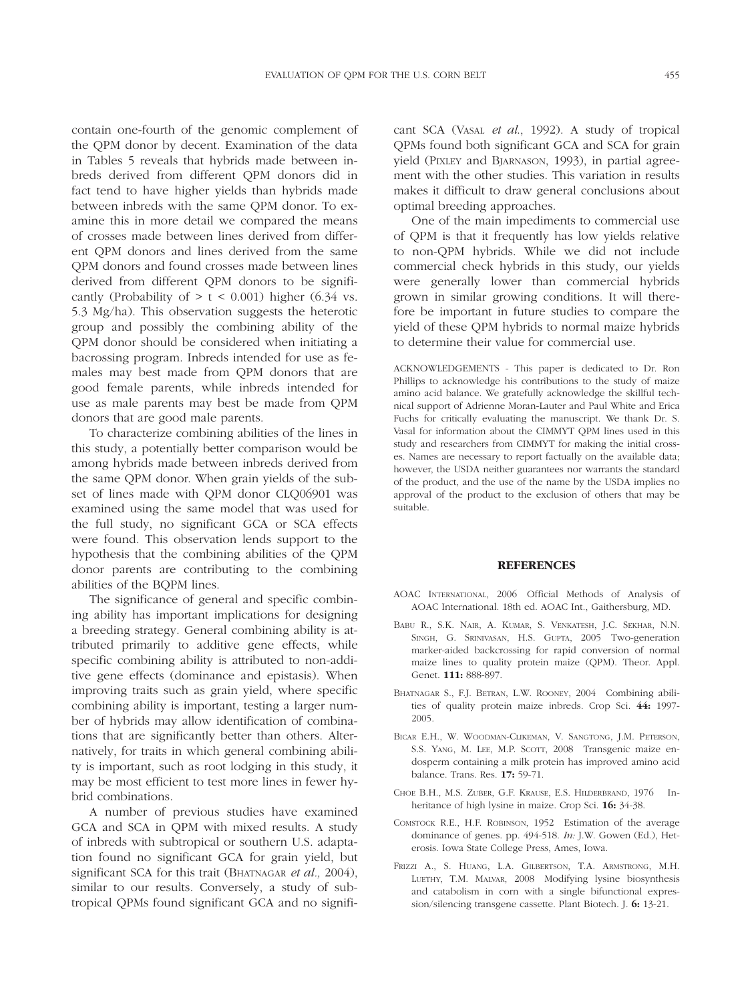contain one-fourth of the genomic complement of the QPM donor by decent. Examination of the data in Tables 5 reveals that hybrids made between inbreds derived from different QPM donors did in fact tend to have higher yields than hybrids made between inbreds with the same QPM donor. To examine this in more detail we compared the means of crosses made between lines derived from different QPM donors and lines derived from the same QPM donors and found crosses made between lines derived from different QPM donors to be significantly (Probability of  $> t < 0.001$ ) higher (6.34 vs. 5.3 Mg/ha). This observation suggests the heterotic group and possibly the combining ability of the QPM donor should be considered when initiating a bacrossing program. Inbreds intended for use as females may best made from QPM donors that are good female parents, while inbreds intended for use as male parents may best be made from QPM donors that are good male parents.

To characterize combining abilities of the lines in this study, a potentially better comparison would be among hybrids made between inbreds derived from the same QPM donor. When grain yields of the subset of lines made with QPM donor CLQ06901 was examined using the same model that was used for the full study, no significant GCA or SCA effects were found. This observation lends support to the hypothesis that the combining abilities of the QPM donor parents are contributing to the combining abilities of the BQPM lines.

The significance of general and specific combining ability has important implications for designing a breeding strategy. General combining ability is attributed primarily to additive gene effects, while specific combining ability is attributed to non-additive gene effects (dominance and epistasis). When improving traits such as grain yield, where specific combining ability is important, testing a larger number of hybrids may allow identification of combinations that are significantly better than others. Alternatively, for traits in which general combining ability is important, such as root lodging in this study, it may be most efficient to test more lines in fewer hybrid combinations.

A number of previous studies have examined GCA and SCA in QPM with mixed results. A study of inbreds with subtropical or southern U.S. adaptation found no significant GCA for grain yield, but significant SCA for this trait (BHATNAGAR *et al.,* 2004), similar to our results. Conversely, a study of subtropical QPMs found significant GCA and no significant SCA (VASAL *et al*., 1992). A study of tropical QPMs found both significant GCA and SCA for grain yield (PIXLEY and BJARNASON, 1993), in partial agreement with the other studies. This variation in results makes it difficult to draw general conclusions about optimal breeding approaches.

One of the main impediments to commercial use of QPM is that it frequently has low yields relative to non-QPM hybrids. While we did not include commercial check hybrids in this study, our yields were generally lower than commercial hybrids grown in similar growing conditions. It will therefore be important in future studies to compare the yield of these QPM hybrids to normal maize hybrids to determine their value for commercial use.

ACKNOWLEDGEMENTS - This paper is dedicated to Dr. Ron Phillips to acknowledge his contributions to the study of maize amino acid balance. We gratefully acknowledge the skillful technical support of Adrienne Moran-Lauter and Paul White and Erica Fuchs for critically evaluating the manuscript. We thank Dr. S. Vasal for information about the CIMMYT QPM lines used in this study and researchers from CIMMYT for making the initial crosses. Names are necessary to report factually on the available data; however, the USDA neither guarantees nor warrants the standard of the product, and the use of the name by the USDA implies no approval of the product to the exclusion of others that may be suitable.

#### **REFERENCES**

- AOAC INTERNATIONAL, 2006 Official Methods of Analysis of AOAC International. 18th ed. AOAC Int., Gaithersburg, MD.
- BABU R., S.K. NAIR, A. KUMAR, S. VENKATESH, J.C. SEKHAR, N.N. SINGH, G. SRINIVASAN, H.S. GUPTA, 2005 Two-generation marker-aided backcrossing for rapid conversion of normal maize lines to quality protein maize (QPM). Theor. Appl. Genet. **111:** 888-897.
- BHATNAGAR S., F.J. BETRAN, L.W. ROONEY, 2004 Combining abilities of quality protein maize inbreds. Crop Sci. **44:** 1997- 2005.
- BICAR E.H., W. WOODMAN-CLIKEMAN, V. SANGTONG, J.M. PETERSON, S.S. YANG, M. LEE, M.P. SCOTT, 2008 Transgenic maize endosperm containing a milk protein has improved amino acid balance. Trans. Res. **17:** 59-71.
- CHOE B.H., M.S. ZUBER, G.F. KRAUSE, E.S. HILDERBRAND, 1976 Inheritance of high lysine in maize. Crop Sci. **16:** 34-38.
- COMSTOCK R.E., H.F. ROBINSON, 1952 Estimation of the average dominance of genes. pp. 494-518. *In:* J.W. Gowen (Ed.), Heterosis. Iowa State College Press, Ames, Iowa.
- FRIZZI A., S. HUANG, L.A. GILBERTSON, T.A. ARMSTRONG, M.H. LUETHY, T.M. MALVAR, 2008 Modifying lysine biosynthesis and catabolism in corn with a single bifunctional expression/silencing transgene cassette. Plant Biotech. J. **6:** 13-21.